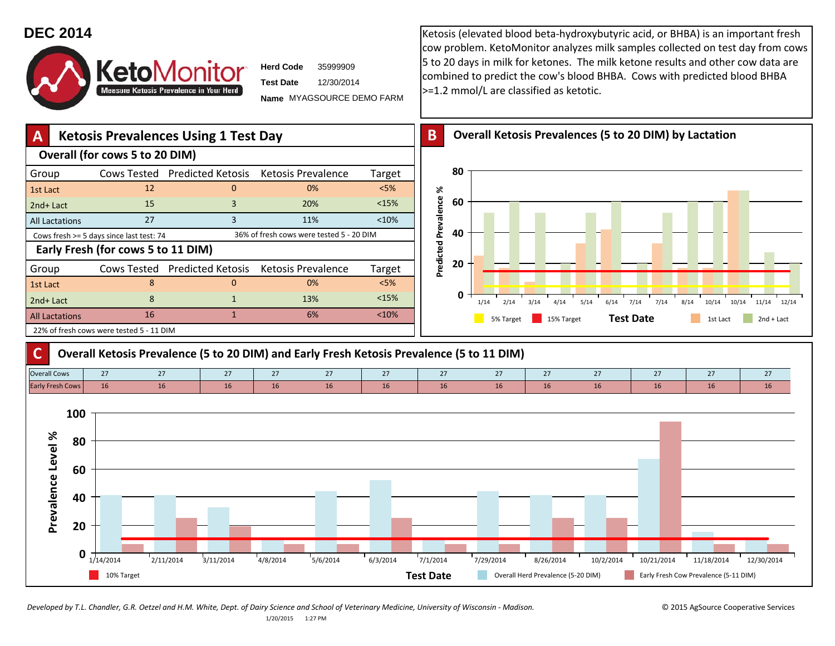## **DEC 2014KetoMonitor Measure Ketosis Prevalence in Your Herd**

**Herd CodeTest Date**3599990912/30/2014

**Name** MYAGSOURCE DEMO FARM

Ketosis (elevated blood beta‐hydroxybutyric acid, or BHBA) is an important fresh cow problem. KetoMonitor analyzes milk samples collected on test day from cows 5 to 20 days in milk for ketones. The milk ketone results and other cow data are combined to predict the cow's blood BHBA. Cows with predicted blood BHBA >=1.2 mmol/L are classified as ketotic.





Developed by T.L. Chandler, G.R. Oetzel and H.M. White, Dept. of Dairy Science and School of Veterinary Medicine, University of Wisconsin - Madison. @ 2015 AgSource Cooperative Services 1/20/2015 1:27 PM